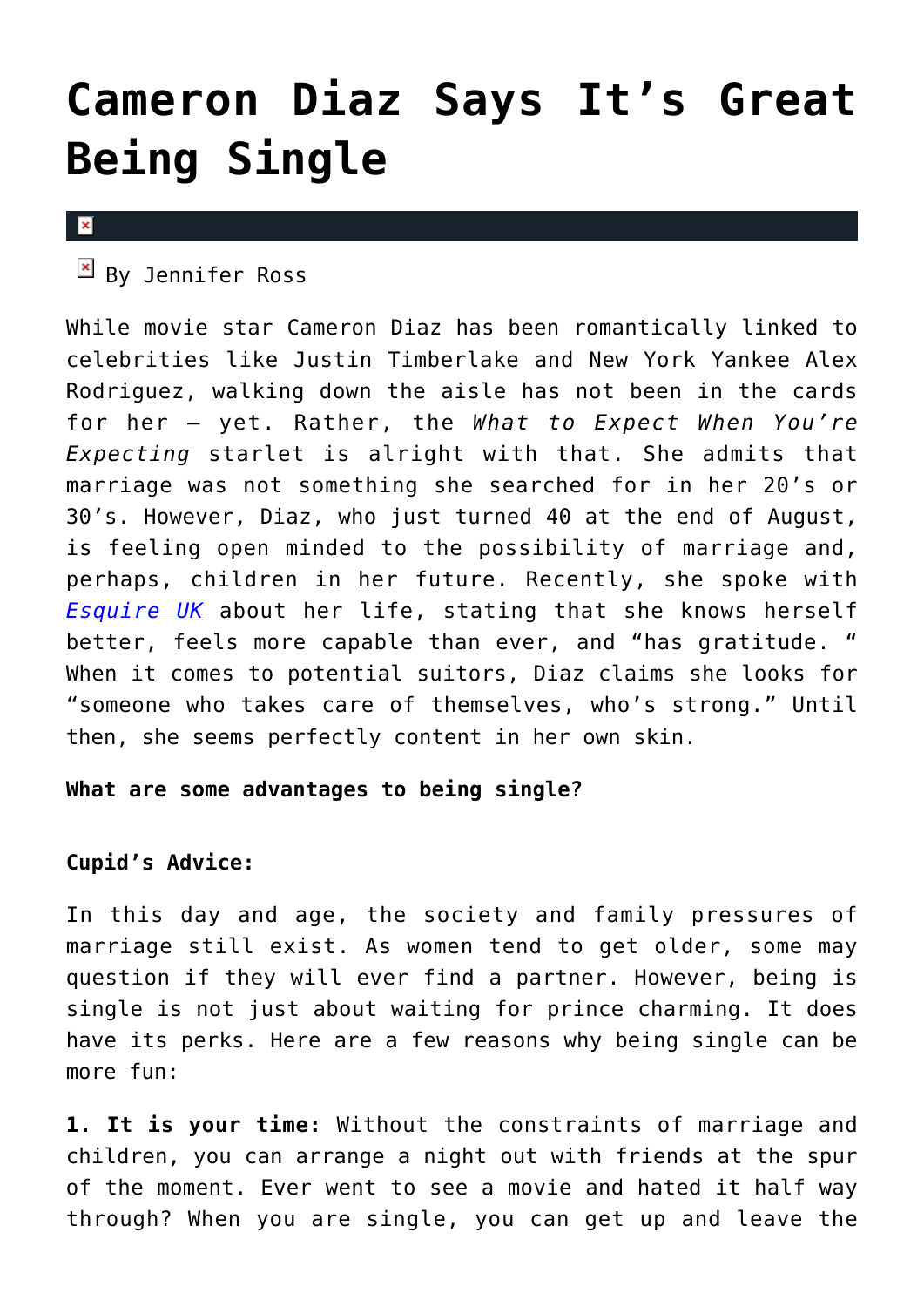## **[Cameron Diaz Says It's Great](https://cupidspulse.com/39119/cameron-diaz-single-life/) [Being Single](https://cupidspulse.com/39119/cameron-diaz-single-life/)**

## $\pmb{\times}$

 $\mathbb{F}$  By Jennifer Ross

While movie star Cameron Diaz has been romantically linked to celebrities like Justin Timberlake and New York Yankee Alex Rodriguez, walking down the aisle has not been in the cards for her — yet. Rather, the *What to Expect When You're Expecting* starlet is alright with that. She admits that marriage was not something she searched for in her 20's or 30's. However, Diaz, who just turned 40 at the end of August, is feeling open minded to the possibility of marriage and, perhaps, children in her future. Recently, she spoke with *[Esquire UK](http://www.esquire.co.uk/2012/10/cameron-diaz/)* about her life, stating that she knows herself better, feels more capable than ever, and "has gratitude. " When it comes to potential suitors, Diaz claims she looks for "someone who takes care of themselves, who's strong." Until then, she seems perfectly content in her own skin.

**What are some advantages to being single?**

## **Cupid's Advice:**

In this day and age, the society and family pressures of marriage still exist. As women tend to get older, some may question if they will ever find a partner. However, being is single is not just about waiting for prince charming. It does have its perks. Here are a few reasons why being single can be more fun:

**1. It is your time:** Without the constraints of marriage and children, you can arrange a night out with friends at the spur of the moment. Ever went to see a movie and hated it half way through? When you are single, you can get up and leave the